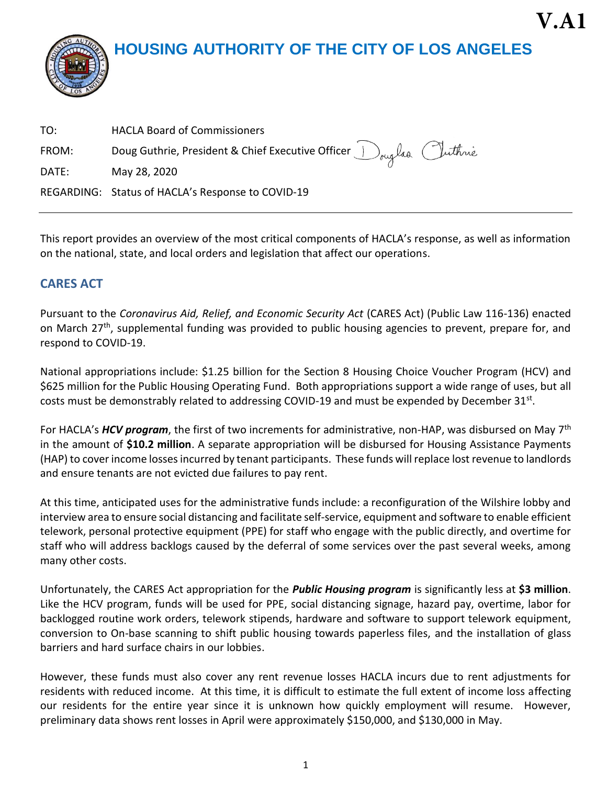

| TO:   | <b>HACLA Board of Commissioners</b>                               |
|-------|-------------------------------------------------------------------|
| FROM: | Doug Guthrie, President & Chief Executive Officer Douglas Cluthne |
| DATE: | May 28, 2020                                                      |
|       | REGARDING: Status of HACLA's Response to COVID-19                 |

This report provides an overview of the most critical components of HACLA's response, as well as information on the national, state, and local orders and legislation that affect our operations.

## **CARES ACT**

Pursuant to the *Coronavirus Aid, Relief, and Economic Security Act* (CARES Act) (Public Law 116-136) enacted on March 27<sup>th</sup>, supplemental funding was provided to public housing agencies to prevent, prepare for, and respond to COVID-19.

National appropriations include: \$1.25 billion for the Section 8 Housing Choice Voucher Program (HCV) and \$625 million for the Public Housing Operating Fund. Both appropriations support a wide range of uses, but all costs must be demonstrably related to addressing COVID-19 and must be expended by December  $31^{st}$ .

For HACLA's *HCV program*, the first of two increments for administrative, non-HAP, was disbursed on May 7th in the amount of **\$10.2 million**. A separate appropriation will be disbursed for Housing Assistance Payments (HAP) to cover income losses incurred by tenant participants. These funds will replace lost revenue to landlords and ensure tenants are not evicted due failures to pay rent.

At this time, anticipated uses for the administrative funds include: a reconfiguration of the Wilshire lobby and interview area to ensure social distancing and facilitate self-service, equipment and software to enable efficient telework, personal protective equipment (PPE) for staff who engage with the public directly, and overtime for staff who will address backlogs caused by the deferral of some services over the past several weeks, among many other costs.

Unfortunately, the CARES Act appropriation for the *Public Housing program* is significantly less at **\$3 million**. Like the HCV program, funds will be used for PPE, social distancing signage, hazard pay, overtime, labor for backlogged routine work orders, telework stipends, hardware and software to support telework equipment, conversion to On-base scanning to shift public housing towards paperless files, and the installation of glass barriers and hard surface chairs in our lobbies.

However, these funds must also cover any rent revenue losses HACLA incurs due to rent adjustments for residents with reduced income. At this time, it is difficult to estimate the full extent of income loss affecting our residents for the entire year since it is unknown how quickly employment will resume. However, preliminary data shows rent losses in April were approximately \$150,000, and \$130,000 in May.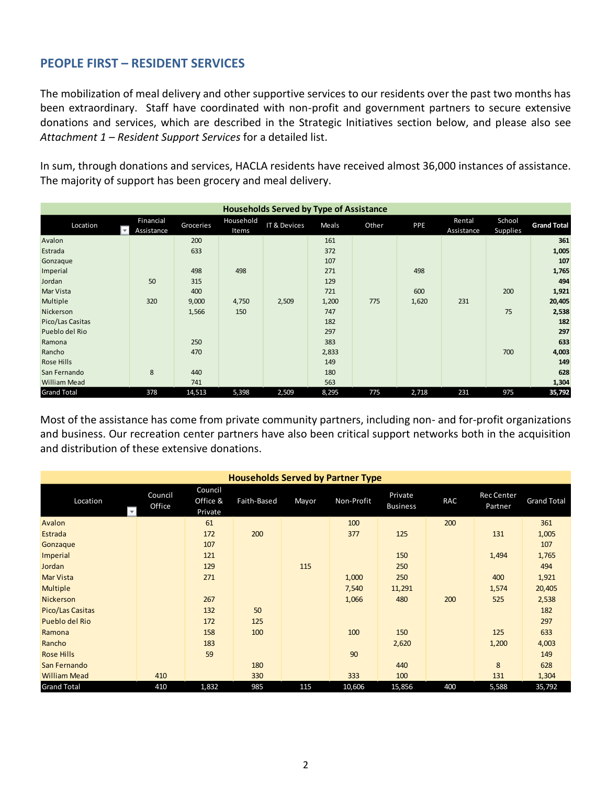## **PEOPLE FIRST – RESIDENT SERVICES**

The mobilization of meal delivery and other supportive services to our residents over the past two months has been extraordinary. Staff have coordinated with non-profit and government partners to secure extensive donations and services, which are described in the Strategic Initiatives section below, and please also see *Attachment 1 – Resident Support Services* for a detailed list.

In sum, through donations and services, HACLA residents have received almost 36,000 instances of assistance. The majority of support has been grocery and meal delivery.

| <b>Households Served by Type of Assistance</b> |                         |           |                    |              |       |       |       |                      |                    |                    |
|------------------------------------------------|-------------------------|-----------|--------------------|--------------|-------|-------|-------|----------------------|--------------------|--------------------|
| Location<br>$\overline{\mathbf{v}}$            | Financial<br>Assistance | Groceries | Household<br>Items | IT & Devices | Meals | Other | PPE   | Rental<br>Assistance | School<br>Supplies | <b>Grand Total</b> |
| Avalon                                         |                         | 200       |                    |              | 161   |       |       |                      |                    | 361                |
| Estrada                                        |                         | 633       |                    |              | 372   |       |       |                      |                    | 1,005              |
| Gonzaque                                       |                         |           |                    |              | 107   |       |       |                      |                    | 107                |
| Imperial                                       |                         | 498       | 498                |              | 271   |       | 498   |                      |                    | 1,765              |
| Jordan                                         | 50                      | 315       |                    |              | 129   |       |       |                      |                    | 494                |
| Mar Vista                                      |                         | 400       |                    |              | 721   |       | 600   |                      | 200                | 1,921              |
| Multiple                                       | 320                     | 9,000     | 4,750              | 2,509        | 1,200 | 775   | 1,620 | 231                  |                    | 20,405             |
| Nickerson                                      |                         | 1,566     | 150                |              | 747   |       |       |                      | 75                 | 2,538              |
| Pico/Las Casitas                               |                         |           |                    |              | 182   |       |       |                      |                    | 182                |
| Pueblo del Rio                                 |                         |           |                    |              | 297   |       |       |                      |                    | 297                |
| Ramona                                         |                         | 250       |                    |              | 383   |       |       |                      |                    | 633                |
| Rancho                                         |                         | 470       |                    |              | 2,833 |       |       |                      | 700                | 4,003              |
| <b>Rose Hills</b>                              |                         |           |                    |              | 149   |       |       |                      |                    | 149                |
| San Fernando                                   | 8                       | 440       |                    |              | 180   |       |       |                      |                    | 628                |
| <b>William Mead</b>                            |                         | 741       |                    |              | 563   |       |       |                      |                    | 1,304              |
| <b>Grand Total</b>                             | 378                     | 14,513    | 5,398              | 2,509        | 8,295 | 775   | 2,718 | 231                  | 975                | 35,792             |

Most of the assistance has come from private community partners, including non- and for-profit organizations and business. Our recreation center partners have also been critical support networks both in the acquisition and distribution of these extensive donations.

| <b>Households Served by Partner Type</b> |                   |                                |             |       |            |                            |     |                              |                    |
|------------------------------------------|-------------------|--------------------------------|-------------|-------|------------|----------------------------|-----|------------------------------|--------------------|
| Location<br>$\overline{\mathbf{v}}$ .    | Council<br>Office | Council<br>Office &<br>Private | Faith-Based | Mayor | Non-Profit | Private<br><b>Business</b> | RAC | <b>Rec Center</b><br>Partner | <b>Grand Total</b> |
| Avalon                                   |                   | 61                             |             |       | 100        |                            | 200 |                              | 361                |
| Estrada                                  |                   | 172                            | 200         |       | 377        | 125                        |     | 131                          | 1,005              |
| Gonzaque                                 |                   | 107                            |             |       |            |                            |     |                              | 107                |
| Imperial                                 |                   | 121                            |             |       |            | 150                        |     | 1,494                        | 1,765              |
| Jordan                                   |                   | 129                            |             | 115   |            | 250                        |     |                              | 494                |
| <b>Mar Vista</b>                         |                   | 271                            |             |       | 1,000      | 250                        |     | 400                          | 1,921              |
| <b>Multiple</b>                          |                   |                                |             |       | 7,540      | 11,291                     |     | 1,574                        | 20,405             |
| Nickerson                                |                   | 267                            |             |       | 1,066      | 480                        | 200 | 525                          | 2,538              |
| Pico/Las Casitas                         |                   | 132                            | 50          |       |            |                            |     |                              | 182                |
| Pueblo del Rio                           |                   | 172                            | 125         |       |            |                            |     |                              | 297                |
| Ramona                                   |                   | 158                            | 100         |       | 100        | 150                        |     | 125                          | 633                |
| Rancho                                   |                   | 183                            |             |       |            | 2,620                      |     | 1,200                        | 4,003              |
| <b>Rose Hills</b>                        |                   | 59                             |             |       | 90         |                            |     |                              | 149                |
| San Fernando                             |                   |                                | 180         |       |            | 440                        |     | 8                            | 628                |
| <b>William Mead</b>                      | 410               |                                | 330         |       | 333        | 100                        |     | 131                          | 1,304              |
| <b>Grand Total</b>                       | 410               | 1,832                          | 985         | 115   | 10,606     | 15,856                     | 400 | 5,588                        | 35,792             |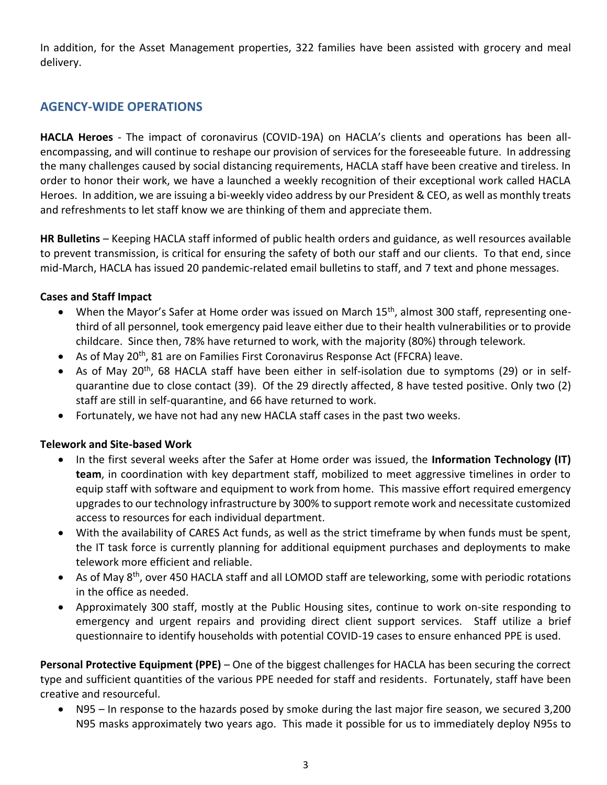In addition, for the Asset Management properties, 322 families have been assisted with grocery and meal delivery.

# **AGENCY-WIDE OPERATIONS**

**HACLA Heroes** - The impact of coronavirus (COVID-19A) on HACLA's clients and operations has been allencompassing, and will continue to reshape our provision of services for the foreseeable future. In addressing the many challenges caused by social distancing requirements, HACLA staff have been creative and tireless. In order to honor their work, we have a launched a weekly recognition of their exceptional work called HACLA Heroes. In addition, we are issuing a bi-weekly video address by our President & CEO, as well as monthly treats and refreshments to let staff know we are thinking of them and appreciate them.

**HR Bulletins** – Keeping HACLA staff informed of public health orders and guidance, as well resources available to prevent transmission, is critical for ensuring the safety of both our staff and our clients. To that end, since mid-March, HACLA has issued 20 pandemic-related email bulletins to staff, and 7 text and phone messages.

## **Cases and Staff Impact**

- When the Mayor's Safer at Home order was issued on March 15<sup>th</sup>, almost 300 staff, representing onethird of all personnel, took emergency paid leave either due to their health vulnerabilities or to provide childcare. Since then, 78% have returned to work, with the majority (80%) through telework.
- As of May 20<sup>th</sup>, 81 are on Families First Coronavirus Response Act (FFCRA) leave.
- As of May 20<sup>th</sup>, 68 HACLA staff have been either in self-isolation due to symptoms (29) or in selfquarantine due to close contact (39). Of the 29 directly affected, 8 have tested positive. Only two (2) staff are still in self-quarantine, and 66 have returned to work.
- Fortunately, we have not had any new HACLA staff cases in the past two weeks.

## **Telework and Site-based Work**

- In the first several weeks after the Safer at Home order was issued, the **Information Technology (IT) team**, in coordination with key department staff, mobilized to meet aggressive timelines in order to equip staff with software and equipment to work from home. This massive effort required emergency upgrades to our technology infrastructure by 300% to support remote work and necessitate customized access to resources for each individual department.
- With the availability of CARES Act funds, as well as the strict timeframe by when funds must be spent, the IT task force is currently planning for additional equipment purchases and deployments to make telework more efficient and reliable.
- As of May 8<sup>th</sup>, over 450 HACLA staff and all LOMOD staff are teleworking, some with periodic rotations in the office as needed.
- Approximately 300 staff, mostly at the Public Housing sites, continue to work on-site responding to emergency and urgent repairs and providing direct client support services. Staff utilize a brief questionnaire to identify households with potential COVID-19 cases to ensure enhanced PPE is used.

**Personal Protective Equipment (PPE)** – One of the biggest challenges for HACLA has been securing the correct type and sufficient quantities of the various PPE needed for staff and residents. Fortunately, staff have been creative and resourceful.

 N95 – In response to the hazards posed by smoke during the last major fire season, we secured 3,200 N95 masks approximately two years ago. This made it possible for us to immediately deploy N95s to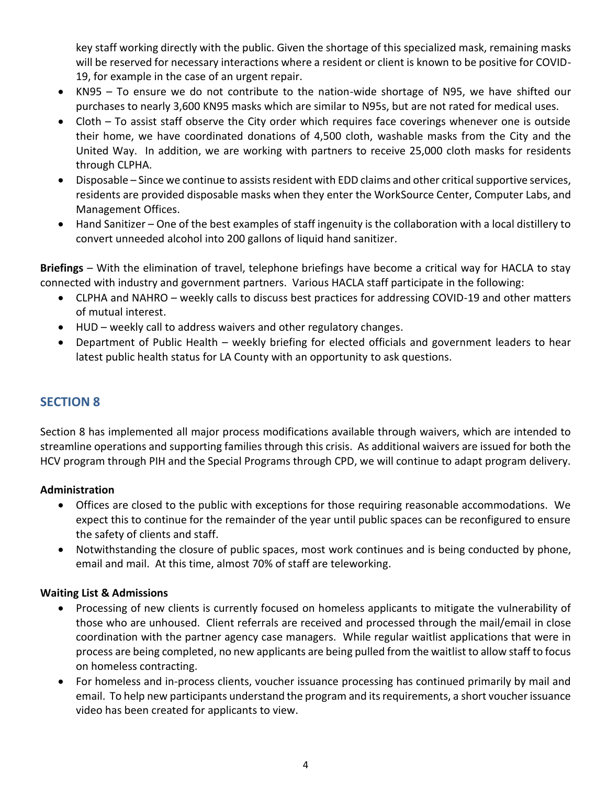key staff working directly with the public. Given the shortage of this specialized mask, remaining masks will be reserved for necessary interactions where a resident or client is known to be positive for COVID-19, for example in the case of an urgent repair.

- KN95 To ensure we do not contribute to the nation-wide shortage of N95, we have shifted our purchases to nearly 3,600 KN95 masks which are similar to N95s, but are not rated for medical uses.
- Cloth To assist staff observe the City order which requires face coverings whenever one is outside their home, we have coordinated donations of 4,500 cloth, washable masks from the City and the United Way. In addition, we are working with partners to receive 25,000 cloth masks for residents through CLPHA.
- Disposable Since we continue to assists resident with EDD claims and other critical supportive services, residents are provided disposable masks when they enter the WorkSource Center, Computer Labs, and Management Offices.
- Hand Sanitizer One of the best examples of staff ingenuity is the collaboration with a local distillery to convert unneeded alcohol into 200 gallons of liquid hand sanitizer.

**Briefings** – With the elimination of travel, telephone briefings have become a critical way for HACLA to stay connected with industry and government partners. Various HACLA staff participate in the following:

- CLPHA and NAHRO weekly calls to discuss best practices for addressing COVID-19 and other matters of mutual interest.
- HUD weekly call to address waivers and other regulatory changes.
- Department of Public Health weekly briefing for elected officials and government leaders to hear latest public health status for LA County with an opportunity to ask questions.

## **SECTION 8**

Section 8 has implemented all major process modifications available through waivers, which are intended to streamline operations and supporting families through this crisis. As additional waivers are issued for both the HCV program through PIH and the Special Programs through CPD, we will continue to adapt program delivery.

## **Administration**

- Offices are closed to the public with exceptions for those requiring reasonable accommodations. We expect this to continue for the remainder of the year until public spaces can be reconfigured to ensure the safety of clients and staff.
- Notwithstanding the closure of public spaces, most work continues and is being conducted by phone, email and mail. At this time, almost 70% of staff are teleworking.

## **Waiting List & Admissions**

- Processing of new clients is currently focused on homeless applicants to mitigate the vulnerability of those who are unhoused. Client referrals are received and processed through the mail/email in close coordination with the partner agency case managers. While regular waitlist applications that were in process are being completed, no new applicants are being pulled from the waitlist to allow staff to focus on homeless contracting.
- For homeless and in-process clients, voucher issuance processing has continued primarily by mail and email. To help new participants understand the program and its requirements, a short voucher issuance video has been created for applicants to view.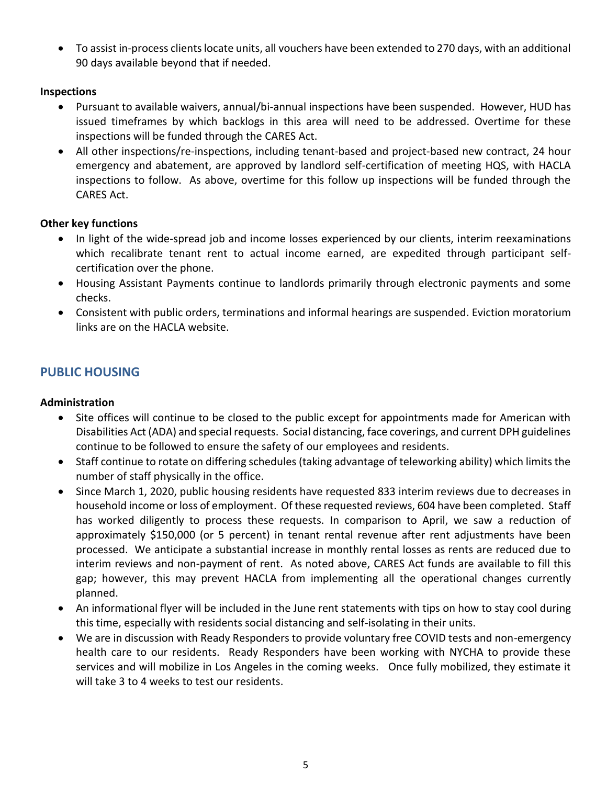To assist in-process clients locate units, all vouchers have been extended to 270 days, with an additional 90 days available beyond that if needed.

### **Inspections**

- Pursuant to available waivers, annual/bi-annual inspections have been suspended. However, HUD has issued timeframes by which backlogs in this area will need to be addressed. Overtime for these inspections will be funded through the CARES Act.
- All other inspections/re-inspections, including tenant-based and project-based new contract, 24 hour emergency and abatement, are approved by landlord self-certification of meeting HQS, with HACLA inspections to follow. As above, overtime for this follow up inspections will be funded through the CARES Act.

## **Other key functions**

- In light of the wide-spread job and income losses experienced by our clients, interim reexaminations which recalibrate tenant rent to actual income earned, are expedited through participant selfcertification over the phone.
- Housing Assistant Payments continue to landlords primarily through electronic payments and some checks.
- Consistent with public orders, terminations and informal hearings are suspended. Eviction moratorium links are on the HACLA website.

## **PUBLIC HOUSING**

#### **Administration**

- Site offices will continue to be closed to the public except for appointments made for American with Disabilities Act (ADA) and special requests. Social distancing, face coverings, and current DPH guidelines continue to be followed to ensure the safety of our employees and residents.
- Staff continue to rotate on differing schedules (taking advantage of teleworking ability) which limits the number of staff physically in the office.
- Since March 1, 2020, public housing residents have requested 833 interim reviews due to decreases in household income or loss of employment. Of these requested reviews, 604 have been completed. Staff has worked diligently to process these requests. In comparison to April, we saw a reduction of approximately \$150,000 (or 5 percent) in tenant rental revenue after rent adjustments have been processed. We anticipate a substantial increase in monthly rental losses as rents are reduced due to interim reviews and non-payment of rent. As noted above, CARES Act funds are available to fill this gap; however, this may prevent HACLA from implementing all the operational changes currently planned.
- An informational flyer will be included in the June rent statements with tips on how to stay cool during this time, especially with residents social distancing and self-isolating in their units.
- We are in discussion with Ready Responders to provide voluntary free COVID tests and non-emergency health care to our residents. Ready Responders have been working with NYCHA to provide these services and will mobilize in Los Angeles in the coming weeks. Once fully mobilized, they estimate it will take 3 to 4 weeks to test our residents.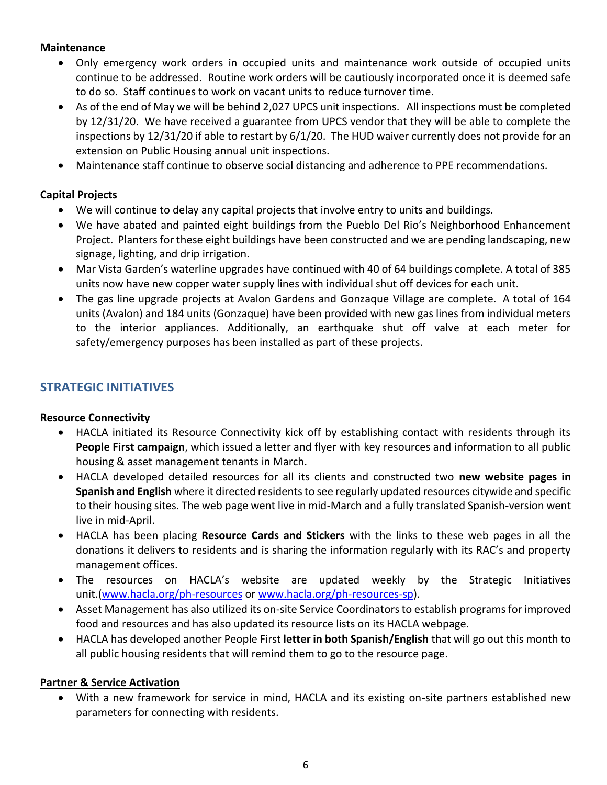#### **Maintenance**

- Only emergency work orders in occupied units and maintenance work outside of occupied units continue to be addressed. Routine work orders will be cautiously incorporated once it is deemed safe to do so. Staff continues to work on vacant units to reduce turnover time.
- As of the end of May we will be behind 2,027 UPCS unit inspections. All inspections must be completed by 12/31/20. We have received a guarantee from UPCS vendor that they will be able to complete the inspections by 12/31/20 if able to restart by 6/1/20. The HUD waiver currently does not provide for an extension on Public Housing annual unit inspections.
- Maintenance staff continue to observe social distancing and adherence to PPE recommendations.

### **Capital Projects**

- We will continue to delay any capital projects that involve entry to units and buildings.
- We have abated and painted eight buildings from the Pueblo Del Rio's Neighborhood Enhancement Project. Planters for these eight buildings have been constructed and we are pending landscaping, new signage, lighting, and drip irrigation.
- Mar Vista Garden's waterline upgrades have continued with 40 of 64 buildings complete. A total of 385 units now have new copper water supply lines with individual shut off devices for each unit.
- The gas line upgrade projects at Avalon Gardens and Gonzaque Village are complete. A total of 164 units (Avalon) and 184 units (Gonzaque) have been provided with new gas lines from individual meters to the interior appliances. Additionally, an earthquake shut off valve at each meter for safety/emergency purposes has been installed as part of these projects.

## **STRATEGIC INITIATIVES**

#### **Resource Connectivity**

- HACLA initiated its Resource Connectivity kick off by establishing contact with residents through its **People First campaign**, which issued a letter and flyer with key resources and information to all public housing & asset management tenants in March.
- HACLA developed detailed resources for all its clients and constructed two **new website pages in Spanish and English** where it directed residents to see regularly updated resources citywide and specific to their housing sites. The web page went live in mid-March and a fully translated Spanish-version went live in mid-April.
- HACLA has been placing **Resource Cards and Stickers** with the links to these web pages in all the donations it delivers to residents and is sharing the information regularly with its RAC's and property management offices.
- The resources on HACLA's website are updated weekly by the Strategic Initiatives unit.(www.hacla.org/ph-resources or www.hacla.org/ph-resources-sp).
- Asset Management has also utilized its on-site Service Coordinators to establish programs for improved food and resources and has also updated its resource lists on its HACLA webpage.
- HACLA has developed another People First **letter in both Spanish/English** that will go out this month to all public housing residents that will remind them to go to the resource page.

#### **Partner & Service Activation**

 With a new framework for service in mind, HACLA and its existing on-site partners established new parameters for connecting with residents.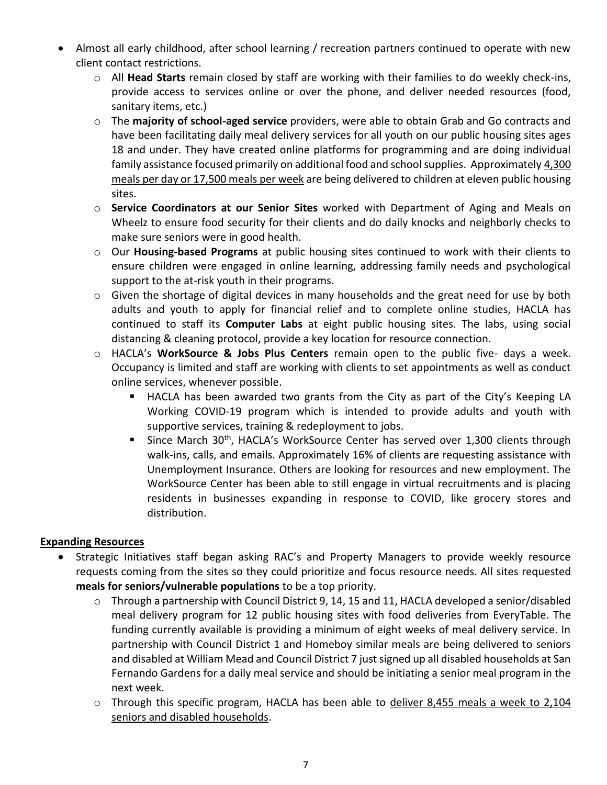- Almost all early childhood, after school learning / recreation partners continued to operate with new client contact restrictions.
	- o All **Head Starts** remain closed by staff are working with their families to do weekly check-ins, provide access to services online or over the phone, and deliver needed resources (food, sanitary items, etc.)
	- o The **majority of school-aged service** providers, were able to obtain Grab and Go contracts and have been facilitating daily meal delivery services for all youth on our public housing sites ages 18 and under. They have created online platforms for programming and are doing individual family assistance focused primarily on additional food and school supplies. Approximately 4,300 meals per day or 17,500 meals per week are being delivered to children at eleven public housing sites.
	- o **Service Coordinators at our Senior Sites** worked with Department of Aging and Meals on Wheelz to ensure food security for their clients and do daily knocks and neighborly checks to make sure seniors were in good health.
	- o Our **Housing-based Programs** at public housing sites continued to work with their clients to ensure children were engaged in online learning, addressing family needs and psychological support to the at-risk youth in their programs.
	- $\circ$  Given the shortage of digital devices in many households and the great need for use by both adults and youth to apply for financial relief and to complete online studies, HACLA has continued to staff its **Computer Labs** at eight public housing sites. The labs, using social distancing & cleaning protocol, provide a key location for resource connection.
	- o HACLA's **WorkSource & Jobs Plus Centers** remain open to the public five- days a week. Occupancy is limited and staff are working with clients to set appointments as well as conduct online services, whenever possible.
		- HACLA has been awarded two grants from the City as part of the City's Keeping LA Working COVID-19 program which is intended to provide adults and youth with supportive services, training & redeployment to jobs.
		- **Since March 30<sup>th</sup>, HACLA's WorkSource Center has served over 1,300 clients through** walk-ins, calls, and emails. Approximately 16% of clients are requesting assistance with Unemployment Insurance. Others are looking for resources and new employment. The WorkSource Center has been able to still engage in virtual recruitments and is placing residents in businesses expanding in response to COVID, like grocery stores and distribution.

## **Expanding Resources**

- Strategic Initiatives staff began asking RAC's and Property Managers to provide weekly resource requests coming from the sites so they could prioritize and focus resource needs. All sites requested **meals for seniors/vulnerable populations** to be a top priority.
	- $\circ$  Through a partnership with Council District 9, 14, 15 and 11, HACLA developed a senior/disabled meal delivery program for 12 public housing sites with food deliveries from EveryTable. The funding currently available is providing a minimum of eight weeks of meal delivery service. In partnership with Council District 1 and Homeboy similar meals are being delivered to seniors and disabled at William Mead and Council District 7 just signed up all disabled households at San Fernando Gardens for a daily meal service and should be initiating a senior meal program in the next week.
	- o Through this specific program, HACLA has been able to deliver 8,455 meals a week to 2,104 seniors and disabled households.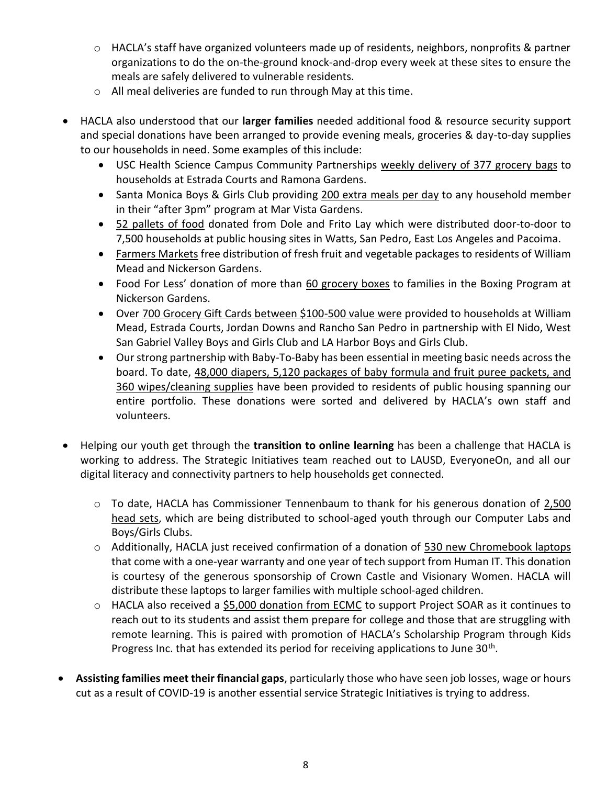- o HACLA's staff have organized volunteers made up of residents, neighbors, nonprofits & partner organizations to do the on-the-ground knock-and-drop every week at these sites to ensure the meals are safely delivered to vulnerable residents.
- o All meal deliveries are funded to run through May at this time.
- HACLA also understood that our **larger families** needed additional food & resource security support and special donations have been arranged to provide evening meals, groceries & day-to-day supplies to our households in need. Some examples of this include:
	- USC Health Science Campus Community Partnerships weekly delivery of 377 grocery bags to households at Estrada Courts and Ramona Gardens.
	- Santa Monica Boys & Girls Club providing 200 extra meals per day to any household member in their "after 3pm" program at Mar Vista Gardens.
	- 52 pallets of food donated from Dole and Frito Lay which were distributed door-to-door to 7,500 households at public housing sites in Watts, San Pedro, East Los Angeles and Pacoima.
	- Farmers Markets free distribution of fresh fruit and vegetable packages to residents of William Mead and Nickerson Gardens.
	- Food For Less' donation of more than 60 grocery boxes to families in the Boxing Program at Nickerson Gardens.
	- Over 700 Grocery Gift Cards between \$100-500 value were provided to households at William Mead, Estrada Courts, Jordan Downs and Rancho San Pedro in partnership with El Nido, West San Gabriel Valley Boys and Girls Club and LA Harbor Boys and Girls Club.
	- Our strong partnership with Baby-To-Baby has been essential in meeting basic needs across the board. To date, 48,000 diapers, 5,120 packages of baby formula and fruit puree packets, and 360 wipes/cleaning supplies have been provided to residents of public housing spanning our entire portfolio. These donations were sorted and delivered by HACLA's own staff and volunteers.
- Helping our youth get through the **transition to online learning** has been a challenge that HACLA is working to address. The Strategic Initiatives team reached out to LAUSD, EveryoneOn, and all our digital literacy and connectivity partners to help households get connected.
	- $\circ$  To date, HACLA has Commissioner Tennenbaum to thank for his generous donation of 2,500 head sets, which are being distributed to school-aged youth through our Computer Labs and Boys/Girls Clubs.
	- $\circ$  Additionally, HACLA just received confirmation of a donation of 530 new Chromebook laptops that come with a one-year warranty and one year of tech support from Human IT. This donation is courtesy of the generous sponsorship of Crown Castle and Visionary Women. HACLA will distribute these laptops to larger families with multiple school-aged children.
	- o HACLA also received a \$5,000 donation from ECMC to support Project SOAR as it continues to reach out to its students and assist them prepare for college and those that are struggling with remote learning. This is paired with promotion of HACLA's Scholarship Program through Kids Progress Inc. that has extended its period for receiving applications to June 30<sup>th</sup>.
- **Assisting families meet their financial gaps**, particularly those who have seen job losses, wage or hours cut as a result of COVID-19 is another essential service Strategic Initiatives is trying to address.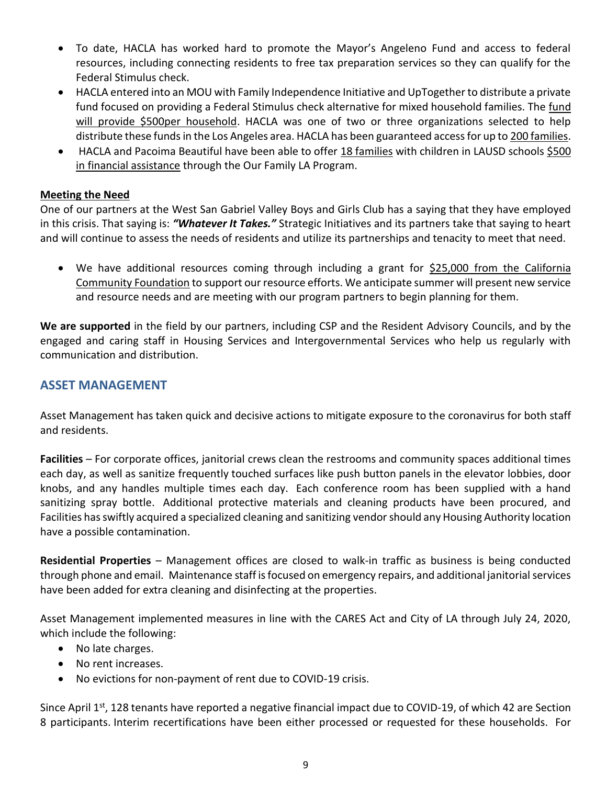- To date, HACLA has worked hard to promote the Mayor's Angeleno Fund and access to federal resources, including connecting residents to free tax preparation services so they can qualify for the Federal Stimulus check.
- HACLA entered into an MOU with Family Independence Initiative and UpTogether to distribute a private fund focused on providing a Federal Stimulus check alternative for mixed household families. The fund will provide \$500per household. HACLA was one of two or three organizations selected to help distribute these funds in the Los Angeles area. HACLA has been guaranteed access for up to 200 families.
- HACLA and Pacoima Beautiful have been able to offer 18 families with children in LAUSD schools \$500 in financial assistance through the Our Family LA Program.

### **Meeting the Need**

One of our partners at the West San Gabriel Valley Boys and Girls Club has a saying that they have employed in this crisis. That saying is: *"Whatever It Takes."* Strategic Initiatives and its partners take that saying to heart and will continue to assess the needs of residents and utilize its partnerships and tenacity to meet that need.

 We have additional resources coming through including a grant for \$25,000 from the California Community Foundation to support our resource efforts. We anticipate summer will present new service and resource needs and are meeting with our program partners to begin planning for them.

**We are supported** in the field by our partners, including CSP and the Resident Advisory Councils, and by the engaged and caring staff in Housing Services and Intergovernmental Services who help us regularly with communication and distribution.

## **ASSET MANAGEMENT**

Asset Management has taken quick and decisive actions to mitigate exposure to the coronavirus for both staff and residents.

**Facilities** – For corporate offices, janitorial crews clean the restrooms and community spaces additional times each day, as well as sanitize frequently touched surfaces like push button panels in the elevator lobbies, door knobs, and any handles multiple times each day. Each conference room has been supplied with a hand sanitizing spray bottle. Additional protective materials and cleaning products have been procured, and Facilities has swiftly acquired a specialized cleaning and sanitizing vendor should any Housing Authority location have a possible contamination.

**Residential Properties** – Management offices are closed to walk-in traffic as business is being conducted through phone and email. Maintenance staff is focused on emergency repairs, and additional janitorial services have been added for extra cleaning and disinfecting at the properties.

Asset Management implemented measures in line with the CARES Act and City of LA through July 24, 2020, which include the following:

- No late charges.
- No rent increases.
- No evictions for non-payment of rent due to COVID-19 crisis.

Since April 1<sup>st</sup>, 128 tenants have reported a negative financial impact due to COVID-19, of which 42 are Section 8 participants. Interim recertifications have been either processed or requested for these households. For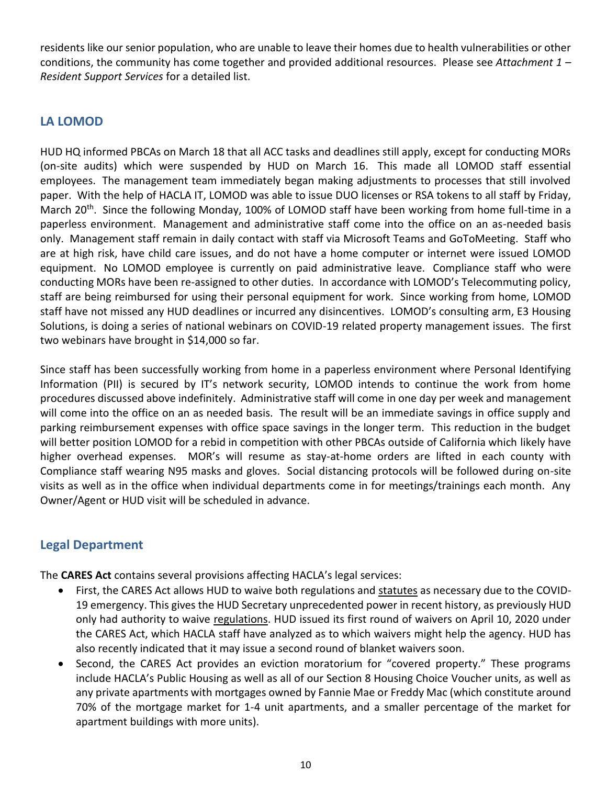residents like our senior population, who are unable to leave their homes due to health vulnerabilities or other conditions, the community has come together and provided additional resources. Please see *Attachment 1 – Resident Support Services* for a detailed list.

# **LA LOMOD**

HUD HQ informed PBCAs on March 18 that all ACC tasks and deadlines still apply, except for conducting MORs (on-site audits) which were suspended by HUD on March 16. This made all LOMOD staff essential employees. The management team immediately began making adjustments to processes that still involved paper. With the help of HACLA IT, LOMOD was able to issue DUO licenses or RSA tokens to all staff by Friday, March 20<sup>th</sup>. Since the following Monday, 100% of LOMOD staff have been working from home full-time in a paperless environment. Management and administrative staff come into the office on an as-needed basis only. Management staff remain in daily contact with staff via Microsoft Teams and GoToMeeting. Staff who are at high risk, have child care issues, and do not have a home computer or internet were issued LOMOD equipment. No LOMOD employee is currently on paid administrative leave. Compliance staff who were conducting MORs have been re-assigned to other duties. In accordance with LOMOD's Telecommuting policy, staff are being reimbursed for using their personal equipment for work. Since working from home, LOMOD staff have not missed any HUD deadlines or incurred any disincentives. LOMOD's consulting arm, E3 Housing Solutions, is doing a series of national webinars on COVID-19 related property management issues. The first two webinars have brought in \$14,000 so far.

Since staff has been successfully working from home in a paperless environment where Personal Identifying Information (PII) is secured by IT's network security, LOMOD intends to continue the work from home procedures discussed above indefinitely. Administrative staff will come in one day per week and management will come into the office on an as needed basis. The result will be an immediate savings in office supply and parking reimbursement expenses with office space savings in the longer term. This reduction in the budget will better position LOMOD for a rebid in competition with other PBCAs outside of California which likely have higher overhead expenses. MOR's will resume as stay-at-home orders are lifted in each county with Compliance staff wearing N95 masks and gloves. Social distancing protocols will be followed during on-site visits as well as in the office when individual departments come in for meetings/trainings each month. Any Owner/Agent or HUD visit will be scheduled in advance.

# **Legal Department**

The **CARES Act** contains several provisions affecting HACLA's legal services:

- First, the CARES Act allows HUD to waive both regulations and statutes as necessary due to the COVID-19 emergency. This gives the HUD Secretary unprecedented power in recent history, as previously HUD only had authority to waive regulations. HUD issued its first round of waivers on April 10, 2020 under the CARES Act, which HACLA staff have analyzed as to which waivers might help the agency. HUD has also recently indicated that it may issue a second round of blanket waivers soon.
- Second, the CARES Act provides an eviction moratorium for "covered property." These programs include HACLA's Public Housing as well as all of our Section 8 Housing Choice Voucher units, as well as any private apartments with mortgages owned by Fannie Mae or Freddy Mac (which constitute around 70% of the mortgage market for 1-4 unit apartments, and a smaller percentage of the market for apartment buildings with more units).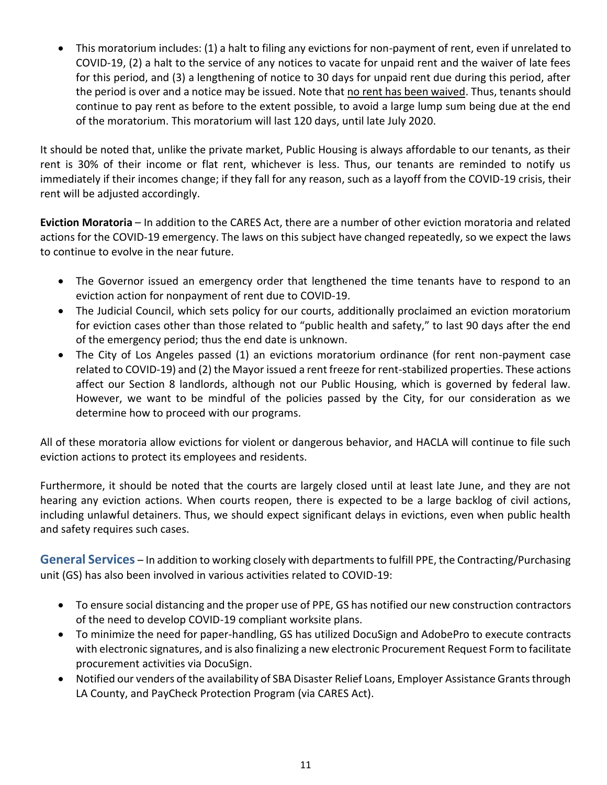This moratorium includes: (1) a halt to filing any evictions for non-payment of rent, even if unrelated to COVID-19, (2) a halt to the service of any notices to vacate for unpaid rent and the waiver of late fees for this period, and (3) a lengthening of notice to 30 days for unpaid rent due during this period, after the period is over and a notice may be issued. Note that no rent has been waived. Thus, tenants should continue to pay rent as before to the extent possible, to avoid a large lump sum being due at the end of the moratorium. This moratorium will last 120 days, until late July 2020.

It should be noted that, unlike the private market, Public Housing is always affordable to our tenants, as their rent is 30% of their income or flat rent, whichever is less. Thus, our tenants are reminded to notify us immediately if their incomes change; if they fall for any reason, such as a layoff from the COVID-19 crisis, their rent will be adjusted accordingly.

**Eviction Moratoria** – In addition to the CARES Act, there are a number of other eviction moratoria and related actions for the COVID-19 emergency. The laws on this subject have changed repeatedly, so we expect the laws to continue to evolve in the near future.

- The Governor issued an emergency order that lengthened the time tenants have to respond to an eviction action for nonpayment of rent due to COVID-19.
- The Judicial Council, which sets policy for our courts, additionally proclaimed an eviction moratorium for eviction cases other than those related to "public health and safety," to last 90 days after the end of the emergency period; thus the end date is unknown.
- The City of Los Angeles passed (1) an evictions moratorium ordinance (for rent non-payment case related to COVID-19) and (2) the Mayor issued a rent freeze for rent-stabilized properties. These actions affect our Section 8 landlords, although not our Public Housing, which is governed by federal law. However, we want to be mindful of the policies passed by the City, for our consideration as we determine how to proceed with our programs.

All of these moratoria allow evictions for violent or dangerous behavior, and HACLA will continue to file such eviction actions to protect its employees and residents.

Furthermore, it should be noted that the courts are largely closed until at least late June, and they are not hearing any eviction actions. When courts reopen, there is expected to be a large backlog of civil actions, including unlawful detainers. Thus, we should expect significant delays in evictions, even when public health and safety requires such cases.

**General Services** – In addition to working closely with departments to fulfill PPE, the Contracting/Purchasing unit (GS) has also been involved in various activities related to COVID-19:

- To ensure social distancing and the proper use of PPE, GS has notified our new construction contractors of the need to develop COVID-19 compliant worksite plans.
- To minimize the need for paper-handling, GS has utilized DocuSign and AdobePro to execute contracts with electronic signatures, and is also finalizing a new electronic Procurement Request Form to facilitate procurement activities via DocuSign.
- Notified our venders of the availability of SBA Disaster Relief Loans, Employer Assistance Grants through LA County, and PayCheck Protection Program (via CARES Act).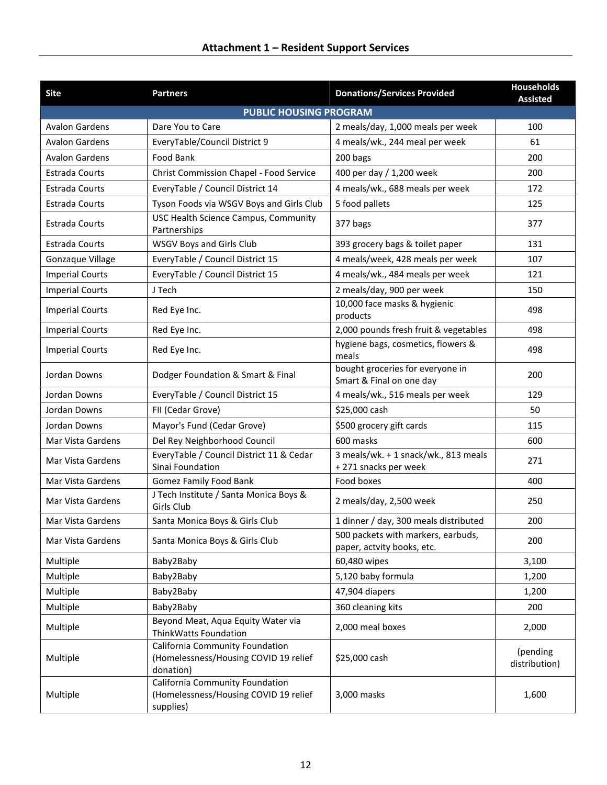| <b>Site</b>            | <b>Partners</b>                                                                       | Households<br><b>Assisted</b>                                    |                           |
|------------------------|---------------------------------------------------------------------------------------|------------------------------------------------------------------|---------------------------|
|                        | <b>PUBLIC HOUSING PROGRAM</b>                                                         |                                                                  |                           |
| <b>Avalon Gardens</b>  | Dare You to Care                                                                      | 2 meals/day, 1,000 meals per week                                | 100                       |
| Avalon Gardens         | EveryTable/Council District 9                                                         | 4 meals/wk., 244 meal per week                                   | 61                        |
| <b>Avalon Gardens</b>  | Food Bank                                                                             | 200 bags                                                         | 200                       |
| <b>Estrada Courts</b>  | Christ Commission Chapel - Food Service                                               | 400 per day / 1,200 week                                         | 200                       |
| <b>Estrada Courts</b>  | EveryTable / Council District 14                                                      | 4 meals/wk., 688 meals per week                                  | 172                       |
| Estrada Courts         | Tyson Foods via WSGV Boys and Girls Club                                              | 5 food pallets                                                   | 125                       |
| <b>Estrada Courts</b>  | USC Health Science Campus, Community<br>Partnerships                                  | 377 bags                                                         | 377                       |
| <b>Estrada Courts</b>  | WSGV Boys and Girls Club                                                              | 393 grocery bags & toilet paper                                  | 131                       |
| Gonzaque Village       | EveryTable / Council District 15                                                      | 4 meals/week, 428 meals per week                                 | 107                       |
| <b>Imperial Courts</b> | EveryTable / Council District 15                                                      | 4 meals/wk., 484 meals per week                                  | 121                       |
| <b>Imperial Courts</b> | J Tech                                                                                | 2 meals/day, 900 per week                                        | 150                       |
| <b>Imperial Courts</b> | Red Eye Inc.                                                                          | 10,000 face masks & hygienic<br>products                         | 498                       |
| <b>Imperial Courts</b> | Red Eye Inc.                                                                          | 2,000 pounds fresh fruit & vegetables                            | 498                       |
| <b>Imperial Courts</b> | Red Eye Inc.                                                                          | hygiene bags, cosmetics, flowers &<br>meals                      | 498                       |
| Jordan Downs           | Dodger Foundation & Smart & Final                                                     | bought groceries for everyone in<br>Smart & Final on one day     | 200                       |
| Jordan Downs           | EveryTable / Council District 15                                                      | 4 meals/wk., 516 meals per week                                  | 129                       |
| Jordan Downs           | FII (Cedar Grove)                                                                     | \$25,000 cash                                                    | 50                        |
| Jordan Downs           | Mayor's Fund (Cedar Grove)                                                            | \$500 grocery gift cards                                         | 115                       |
| Mar Vista Gardens      | Del Rey Neighborhood Council                                                          | 600 masks                                                        | 600                       |
| Mar Vista Gardens      | EveryTable / Council District 11 & Cedar<br>Sinai Foundation                          | 3 meals/wk. + 1 snack/wk., 813 meals<br>+271 snacks per week     | 271                       |
| Mar Vista Gardens      | <b>Gomez Family Food Bank</b>                                                         | Food boxes                                                       | 400                       |
| Mar Vista Gardens      | J Tech Institute / Santa Monica Boys &<br>Girls Club                                  | 2 meals/day, 2,500 week                                          | 250                       |
| Mar Vista Gardens      | Santa Monica Boys & Girls Club                                                        | 1 dinner / day, 300 meals distributed                            | 200                       |
| Mar Vista Gardens      | Santa Monica Boys & Girls Club                                                        | 500 packets with markers, earbuds,<br>paper, actvity books, etc. | 200                       |
| Multiple               | Baby2Baby                                                                             | 60,480 wipes                                                     | 3,100                     |
| Multiple               | Baby2Baby                                                                             | 5,120 baby formula                                               | 1,200                     |
| Multiple               | Baby2Baby                                                                             | 47,904 diapers                                                   | 1,200                     |
| Multiple               | Baby2Baby                                                                             | 360 cleaning kits                                                | 200                       |
| Multiple               | Beyond Meat, Aqua Equity Water via<br>ThinkWatts Foundation                           | 2,000 meal boxes                                                 | 2,000                     |
| Multiple               | California Community Foundation<br>(Homelessness/Housing COVID 19 relief<br>donation) | \$25,000 cash                                                    | (pending<br>distribution) |
| Multiple               | California Community Foundation<br>(Homelessness/Housing COVID 19 relief<br>supplies) | 3,000 masks                                                      | 1,600                     |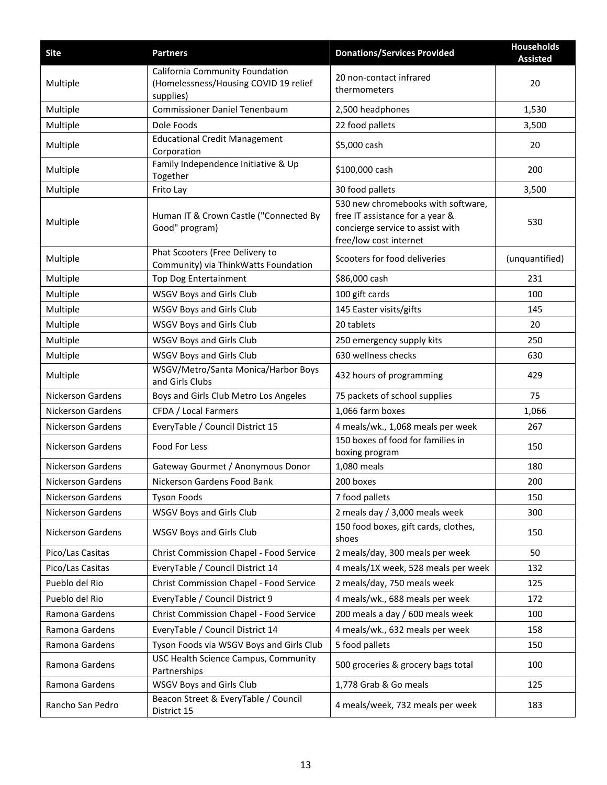| <b>Site</b>              | <b>Partners</b>                                                                       | <b>Donations/Services Provided</b>                                                                                                  | Households<br><b>Assisted</b> |
|--------------------------|---------------------------------------------------------------------------------------|-------------------------------------------------------------------------------------------------------------------------------------|-------------------------------|
| Multiple                 | California Community Foundation<br>(Homelessness/Housing COVID 19 relief<br>supplies) | 20 non-contact infrared<br>thermometers                                                                                             | 20                            |
| Multiple                 | <b>Commissioner Daniel Tenenbaum</b>                                                  | 2,500 headphones                                                                                                                    | 1,530                         |
| Multiple                 | Dole Foods                                                                            | 22 food pallets                                                                                                                     | 3,500                         |
| Multiple                 | <b>Educational Credit Management</b><br>Corporation                                   | \$5,000 cash                                                                                                                        | 20                            |
| Multiple                 | Family Independence Initiative & Up<br>Together                                       | \$100,000 cash                                                                                                                      | 200                           |
| Multiple                 | Frito Lay                                                                             | 30 food pallets                                                                                                                     | 3,500                         |
| Multiple                 | Human IT & Crown Castle ("Connected By<br>Good" program)                              | 530 new chromebooks with software,<br>free IT assistance for a year &<br>concierge service to assist with<br>free/low cost internet | 530                           |
| Multiple                 | Phat Scooters (Free Delivery to<br>Community) via ThinkWatts Foundation               | Scooters for food deliveries                                                                                                        | (unquantified)                |
| Multiple                 | Top Dog Entertainment                                                                 | \$86,000 cash                                                                                                                       | 231                           |
| Multiple                 | WSGV Boys and Girls Club                                                              | 100 gift cards                                                                                                                      | 100                           |
| Multiple                 | WSGV Boys and Girls Club                                                              | 145 Easter visits/gifts                                                                                                             | 145                           |
| Multiple                 | WSGV Boys and Girls Club                                                              | 20 tablets                                                                                                                          | 20                            |
| Multiple                 | WSGV Boys and Girls Club                                                              | 250 emergency supply kits                                                                                                           | 250                           |
| Multiple                 | WSGV Boys and Girls Club                                                              | 630 wellness checks                                                                                                                 | 630                           |
| Multiple                 | WSGV/Metro/Santa Monica/Harbor Boys<br>and Girls Clubs                                | 432 hours of programming                                                                                                            | 429                           |
| Nickerson Gardens        | Boys and Girls Club Metro Los Angeles                                                 | 75 packets of school supplies                                                                                                       | 75                            |
| <b>Nickerson Gardens</b> | CFDA / Local Farmers                                                                  | 1,066 farm boxes                                                                                                                    | 1,066                         |
| Nickerson Gardens        | EveryTable / Council District 15                                                      | 4 meals/wk., 1,068 meals per week                                                                                                   | 267                           |
| <b>Nickerson Gardens</b> | Food For Less                                                                         | 150 boxes of food for families in<br>boxing program                                                                                 | 150                           |
| Nickerson Gardens        | Gateway Gourmet / Anonymous Donor                                                     | 1,080 meals                                                                                                                         | 180                           |
| Nickerson Gardens        | Nickerson Gardens Food Bank                                                           | 200 boxes                                                                                                                           | 200                           |
| Nickerson Gardens        | <b>Tyson Foods</b>                                                                    | 7 food pallets                                                                                                                      | 150                           |
| Nickerson Gardens        | WSGV Boys and Girls Club                                                              | 2 meals day / 3,000 meals week                                                                                                      | 300                           |
| Nickerson Gardens        | WSGV Boys and Girls Club                                                              | 150 food boxes, gift cards, clothes,<br>shoes                                                                                       | 150                           |
| Pico/Las Casitas         | Christ Commission Chapel - Food Service                                               | 2 meals/day, 300 meals per week                                                                                                     | 50                            |
| Pico/Las Casitas         | EveryTable / Council District 14                                                      | 4 meals/1X week, 528 meals per week                                                                                                 | 132                           |
| Pueblo del Rio           | Christ Commission Chapel - Food Service                                               | 2 meals/day, 750 meals week                                                                                                         | 125                           |
| Pueblo del Rio           | EveryTable / Council District 9                                                       | 4 meals/wk., 688 meals per week                                                                                                     | 172                           |
| Ramona Gardens           | Christ Commission Chapel - Food Service                                               | 200 meals a day / 600 meals week                                                                                                    | 100                           |
| Ramona Gardens           | EveryTable / Council District 14                                                      | 4 meals/wk., 632 meals per week                                                                                                     | 158                           |
| Ramona Gardens           | Tyson Foods via WSGV Boys and Girls Club                                              | 5 food pallets                                                                                                                      | 150                           |
| Ramona Gardens           | USC Health Science Campus, Community<br>Partnerships                                  | 500 groceries & grocery bags total                                                                                                  | 100                           |
| Ramona Gardens           | <b>WSGV Boys and Girls Club</b>                                                       | 1,778 Grab & Go meals                                                                                                               | 125                           |
| Rancho San Pedro         | Beacon Street & EveryTable / Council<br>District 15                                   | 4 meals/week, 732 meals per week                                                                                                    | 183                           |